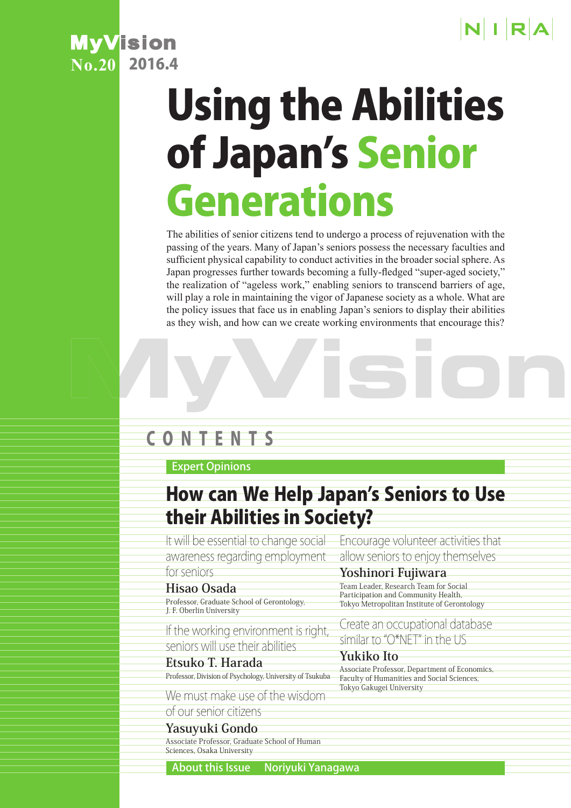

# **MyVision**<br>No. 20 2016.4  $N<sub>0.20</sub>$

# Using the Abilities of Japan's Senior Generations

The abilities of senior citizens tend to undergo a process of rejuvenation with the passing of the years. Many of Japan's seniors possess the necessary faculties and sufficient physical capability to conduct activities in the broader social sphere. As Japan progresses further towards becoming a fully-fledged "super-aged society," the realization of "ageless work," enabling seniors to transcend barriers of age, will play a role in maintaining the vigor of Japanese society as a whole. What are the policy issues that face us in enabling Japan's seniors to display their abilities as they wish, and how can we create working environments that encourage this?

# CONTENTS

### Expert Opinions

# How can We Help Japan's Seniors to Use their Abilities in Society?

It will be essential to change social Encourage volunteer activities that awareness regarding employment allow seniors to enjoy themselves for seniors

### **Hisao Osada**

Professor, Graduate School of Gerontology, J. F. Oberlin University

If the working environment is right seniors will use their abilities

**Etsuko T. Harada** Professor, Division of Psychology, University of Tsukuba

We must make use of the wisdom

# of our senior citizens

**Yasuyuki Gondo** Associate Professor, Graduate School of Human Sciences, Osaka University

### **Yoshinori Fujiwara**

Team Leader, Research Team for Social Participation and Community Health, Tokyo Metropolitan Institute of Gerontology

Create an occupational database similar to "O\*NET" in the US

### **Yukiko Ito**

Associate Professor, Department of Economics, Faculty of Humanities and Social Sciences, Tokyo Gakugei University

About this Issue Noriyuki Yanagawa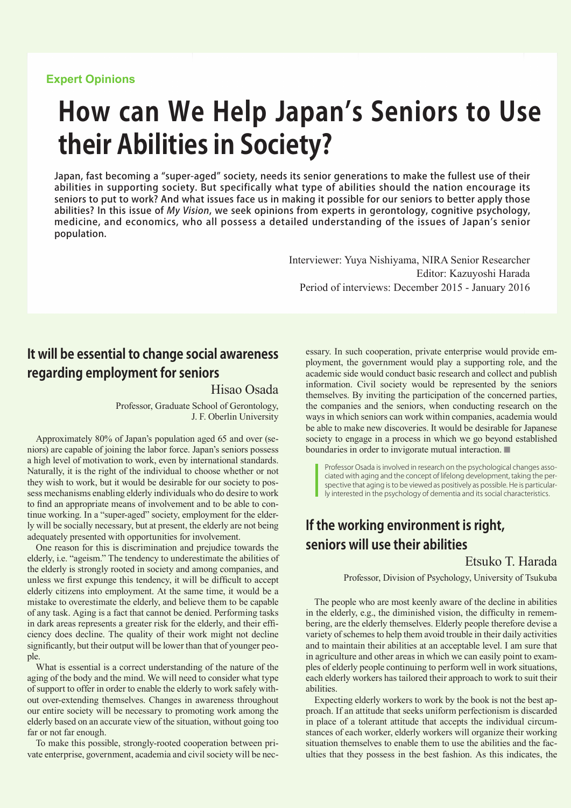#### **Expert Opinions**

# **How can We Help Japan's Seniors to Use their Abilities in Society?**

Japan, fast becoming a "super-aged" society, needs its senior generations to make the fullest use of their abilities in supporting society. But specifically what type of abilities should the nation encourage its seniors to put to work? And what issues face us in making it possible for our seniors to better apply those abilities? In this issue of My Vision, we seek opinions from experts in gerontology, cognitive psychology, medicine, and economics, who all possess a detailed understanding of the issues of Japan's senior population.

> Interviewer: Yuya Nishiyama, NIRA Senior Researcher Editor: Kazuyoshi Harada Period of interviews: December 2015 - January 2016

# **It will be essential to change social awareness regarding employment for seniors**

#### Hisao Osada

Professor, Graduate School of Gerontology, J. F. Oberlin University

Approximately 80% of Japan's population aged 65 and over (seniors) are capable of joining the labor force. Japan's seniors possess a high level of motivation to work, even by international standards. Naturally, it is the right of the individual to choose whether or not they wish to work, but it would be desirable for our society to possess mechanisms enabling elderly individuals who do desire to work to find an appropriate means of involvement and to be able to continue working. In a "super-aged" society, employment for the elderly will be socially necessary, but at present, the elderly are not being adequately presented with opportunities for involvement.

One reason for this is discrimination and prejudice towards the elderly, i.e. "ageism." The tendency to underestimate the abilities of the elderly is strongly rooted in society and among companies, and unless we first expunge this tendency, it will be difficult to accept elderly citizens into employment. At the same time, it would be a mistake to overestimate the elderly, and believe them to be capable of any task. Aging is a fact that cannot be denied. Performing tasks in dark areas represents a greater risk for the elderly, and their efficiency does decline. The quality of their work might not decline significantly, but their output will be lower than that of younger people.

What is essential is a correct understanding of the nature of the aging of the body and the mind. We will need to consider what type of support to offer in order to enable the elderly to work safely without over-extending themselves. Changes in awareness throughout our entire society will be necessary to promoting work among the elderly based on an accurate view of the situation, without going too far or not far enough.

To make this possible, strongly-rooted cooperation between private enterprise, government, academia and civil society will be necessary. In such cooperation, private enterprise would provide employment, the government would play a supporting role, and the academic side would conduct basic research and collect and publish information. Civil society would be represented by the seniors themselves. By inviting the participation of the concerned parties, the companies and the seniors, when conducting research on the ways in which seniors can work within companies, academia would be able to make new discoveries. It would be desirable for Japanese society to engage in a process in which we go beyond established boundaries in order to invigorate mutual interaction. ■

Professor Osada is involved in research on the psychological changes associated with aging and the concept of lifelong development, taking the perspective that aging is to be viewed as positively as possible. He is particularly interested in the psychology of dementia and its social characteristics.

# **If the working environment is right, seniors will use their abilities**

Etsuko T. Harada

Professor, Division of Psychology, University of Tsukuba

The people who are most keenly aware of the decline in abilities in the elderly, e.g., the diminished vision, the difficulty in remembering, are the elderly themselves. Elderly people therefore devise a variety of schemes to help them avoid trouble in their daily activities and to maintain their abilities at an acceptable level. I am sure that in agriculture and other areas in which we can easily point to examples of elderly people continuing to perform well in work situations, each elderly workers has tailored their approach to work to suit their abilities.

Expecting elderly workers to work by the book is not the best approach. If an attitude that seeks uniform perfectionism is discarded in place of a tolerant attitude that accepts the individual circumstances of each worker, elderly workers will organize their working situation themselves to enable them to use the abilities and the faculties that they possess in the best fashion. As this indicates, the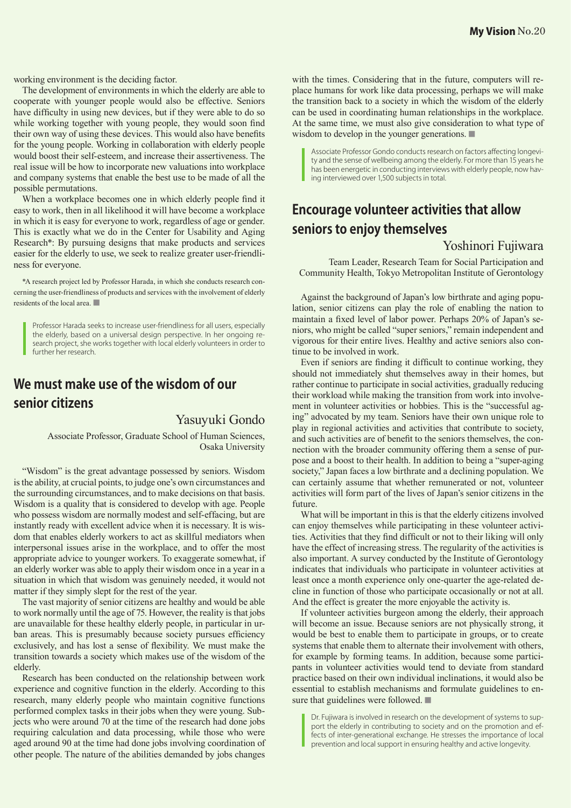working environment is the deciding factor.

The development of environments in which the elderly are able to cooperate with younger people would also be effective. Seniors have difficulty in using new devices, but if they were able to do so while working together with young people, they would soon find their own way of using these devices. This would also have benefits for the young people. Working in collaboration with elderly people would boost their self-esteem, and increase their assertiveness. The real issue will be how to incorporate new valuations into workplace and company systems that enable the best use to be made of all the possible permutations.

When a workplace becomes one in which elderly people find it easy to work, then in all likelihood it will have become a workplace in which it is easy for everyone to work, regardless of age or gender. This is exactly what we do in the Center for Usability and Aging Research\*: By pursuing designs that make products and services easier for the elderly to use, we seek to realize greater user-friendliness for everyone.

\*A research project led by Professor Harada, in which she conducts research concerning the user-friendliness of products and services with the involvement of elderly residents of the local area. ■

Professor Harada seeks to increase user-friendliness for all users, especially the elderly, based on a universal design perspective. In her ongoing research project, she works together with local elderly volunteers in order to further her research.

# **We must make use of the wisdom of our senior citizens**

#### Yasuyuki Gondo

Associate Professor, Graduate School of Human Sciences, Osaka University

"Wisdom" is the great advantage possessed by seniors. Wisdom is the ability, at crucial points, to judge one's own circumstances and the surrounding circumstances, and to make decisions on that basis. Wisdom is a quality that is considered to develop with age. People who possess wisdom are normally modest and self-effacing, but are instantly ready with excellent advice when it is necessary. It is wisdom that enables elderly workers to act as skillful mediators when interpersonal issues arise in the workplace, and to offer the most appropriate advice to younger workers. To exaggerate somewhat, if an elderly worker was able to apply their wisdom once in a year in a situation in which that wisdom was genuinely needed, it would not matter if they simply slept for the rest of the year.

The vast majority of senior citizens are healthy and would be able to work normally until the age of 75. However, the reality is that jobs are unavailable for these healthy elderly people, in particular in urban areas. This is presumably because society pursues efficiency exclusively, and has lost a sense of flexibility. We must make the transition towards a society which makes use of the wisdom of the elderly.

Research has been conducted on the relationship between work experience and cognitive function in the elderly. According to this research, many elderly people who maintain cognitive functions performed complex tasks in their jobs when they were young. Subjects who were around 70 at the time of the research had done jobs requiring calculation and data processing, while those who were aged around 90 at the time had done jobs involving coordination of other people. The nature of the abilities demanded by jobs changes

with the times. Considering that in the future, computers will replace humans for work like data processing, perhaps we will make the transition back to a society in which the wisdom of the elderly can be used in coordinating human relationships in the workplace. At the same time, we must also give consideration to what type of wisdom to develop in the younger generations.

Associate Professor Gondo conducts research on factors affecting longevity and the sense of wellbeing among the elderly. For more than 15 years he has been energetic in conducting interviews with elderly people, now having interviewed over 1,500 subjects in total.

# **Encourage volunteer activities that allow seniors to enjoy themselves**

#### Yoshinori Fujiwara

Team Leader, Research Team for Social Participation and Community Health, Tokyo Metropolitan Institute of Gerontology

Against the background of Japan's low birthrate and aging population, senior citizens can play the role of enabling the nation to maintain a fixed level of labor power. Perhaps 20% of Japan's seniors, who might be called "super seniors," remain independent and vigorous for their entire lives. Healthy and active seniors also continue to be involved in work.

Even if seniors are finding it difficult to continue working, they should not immediately shut themselves away in their homes, but rather continue to participate in social activities, gradually reducing their workload while making the transition from work into involvement in volunteer activities or hobbies. This is the "successful aging" advocated by my team. Seniors have their own unique role to play in regional activities and activities that contribute to society, and such activities are of benefit to the seniors themselves, the connection with the broader community offering them a sense of purpose and a boost to their health. In addition to being a "super-aging society," Japan faces a low birthrate and a declining population. We can certainly assume that whether remunerated or not, volunteer activities will form part of the lives of Japan's senior citizens in the future.

What will be important in this is that the elderly citizens involved can enjoy themselves while participating in these volunteer activities. Activities that they find difficult or not to their liking will only have the effect of increasing stress. The regularity of the activities is also important. A survey conducted by the Institute of Gerontology indicates that individuals who participate in volunteer activities at least once a month experience only one-quarter the age-related decline in function of those who participate occasionally or not at all. And the effect is greater the more enjoyable the activity is.

If volunteer activities burgeon among the elderly, their approach will become an issue. Because seniors are not physically strong, it would be best to enable them to participate in groups, or to create systems that enable them to alternate their involvement with others, for example by forming teams. In addition, because some participants in volunteer activities would tend to deviate from standard practice based on their own individual inclinations, it would also be essential to establish mechanisms and formulate guidelines to ensure that guidelines were followed. ■

Dr. Fujiwara is involved in research on the development of systems to support the elderly in contributing to society and on the promotion and effects of inter-generational exchange. He stresses the importance of local prevention and local support in ensuring healthy and active longevity.